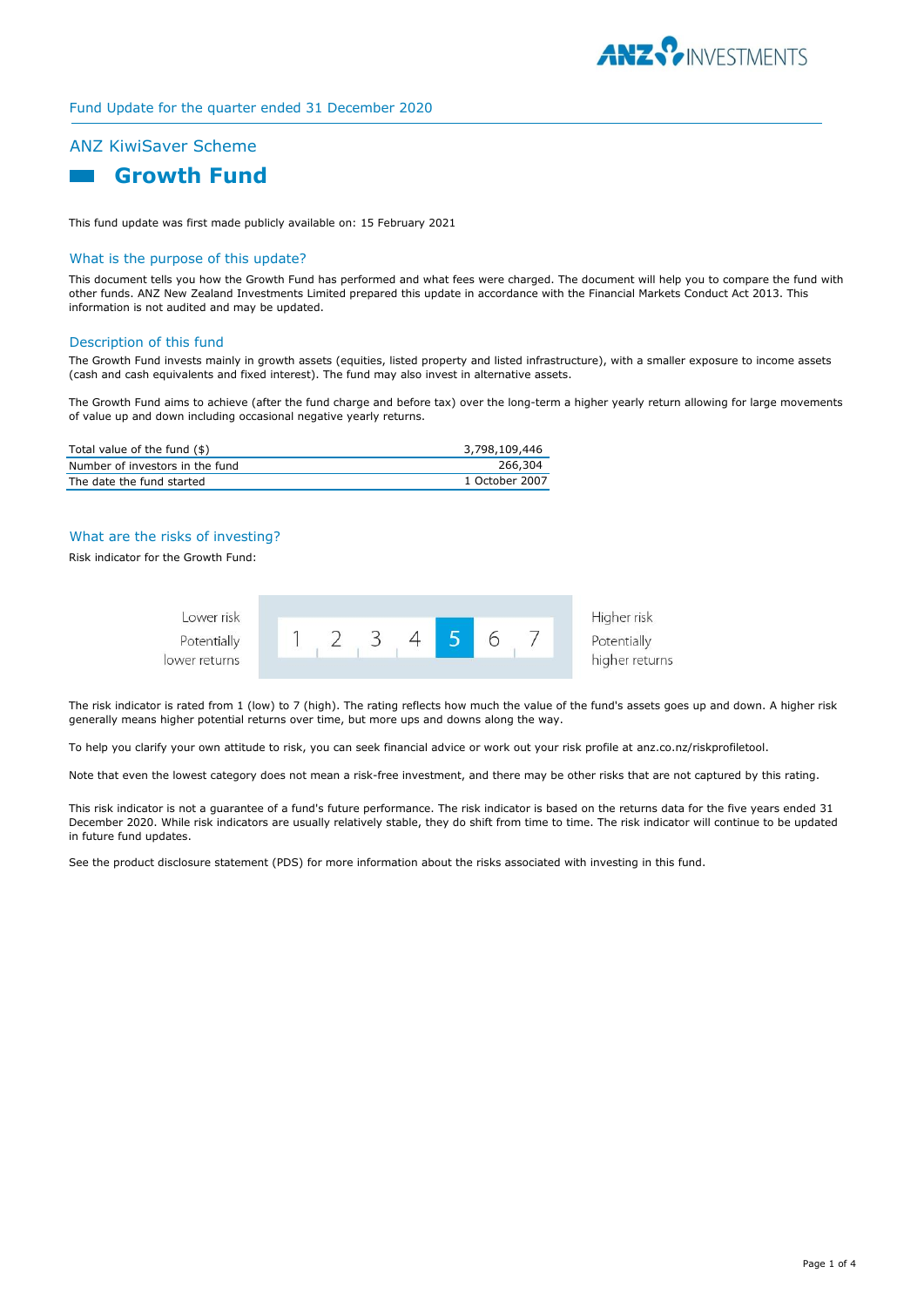

# Fund Update for the quarter ended 31 December 2020

# ANZ KiwiSaver Scheme



This fund update was first made publicly available on: 15 February 2021

# What is the purpose of this update?

This document tells you how the Growth Fund has performed and what fees were charged. The document will help you to compare the fund with other funds. ANZ New Zealand Investments Limited prepared this update in accordance with the Financial Markets Conduct Act 2013. This information is not audited and may be updated.

#### Description of this fund

The Growth Fund invests mainly in growth assets (equities, listed property and listed infrastructure), with a smaller exposure to income assets (cash and cash equivalents and fixed interest). The fund may also invest in alternative assets.

The Growth Fund aims to achieve (after the fund charge and before tax) over the long-term a higher yearly return allowing for large movements of value up and down including occasional negative yearly returns.

| Total value of the fund (\$)    | 3,798,109,446  |
|---------------------------------|----------------|
| Number of investors in the fund | 266,304        |
| The date the fund started       | 1 October 2007 |

# What are the risks of investing?

Risk indicator for the Growth Fund:



The risk indicator is rated from 1 (low) to 7 (high). The rating reflects how much the value of the fund's assets goes up and down. A higher risk generally means higher potential returns over time, but more ups and downs along the way.

To help you clarify your own attitude to risk, you can seek financial advice or work out your risk profile at anz.co.nz/riskprofiletool.

Note that even the lowest category does not mean a risk-free investment, and there may be other risks that are not captured by this rating.

This risk indicator is not a guarantee of a fund's future performance. The risk indicator is based on the returns data for the five years ended 31 December 2020. While risk indicators are usually relatively stable, they do shift from time to time. The risk indicator will continue to be updated in future fund updates.

See the product disclosure statement (PDS) for more information about the risks associated with investing in this fund.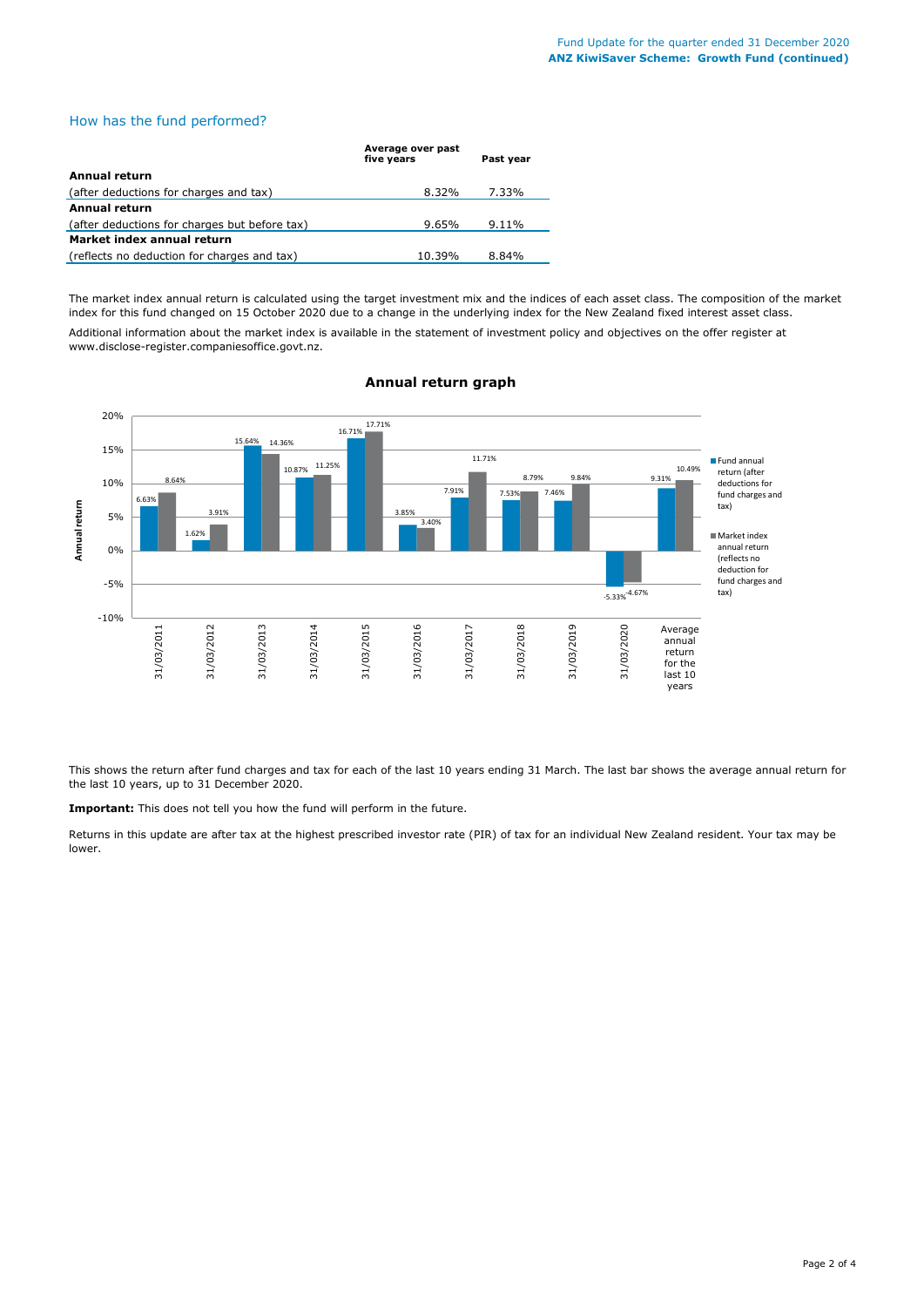# How has the fund performed?

|                                               | Average over past<br>five years | Past year |  |  |
|-----------------------------------------------|---------------------------------|-----------|--|--|
| Annual return                                 |                                 |           |  |  |
| (after deductions for charges and tax)        | 8.32%                           | 7.33%     |  |  |
| <b>Annual return</b>                          |                                 |           |  |  |
| (after deductions for charges but before tax) | 9.65%                           | $9.11\%$  |  |  |
| Market index annual return                    |                                 |           |  |  |
| (reflects no deduction for charges and tax)   | 10.39%                          | 8.84%     |  |  |

The market index annual return is calculated using the target investment mix and the indices of each asset class. The composition of the market index for this fund changed on 15 October 2020 due to a change in the underlying index for the New Zealand fixed interest asset class. Additional information about the market index is available in the statement of investment policy and objectives on the offer register at www.disclose-register.companiesoffice.govt.nz.



#### **Annual return graph**

This shows the return after fund charges and tax for each of the last 10 years ending 31 March. The last bar shows the average annual return for the last 10 years, up to 31 December 2020.

**Important:** This does not tell you how the fund will perform in the future.

Returns in this update are after tax at the highest prescribed investor rate (PIR) of tax for an individual New Zealand resident. Your tax may be lower.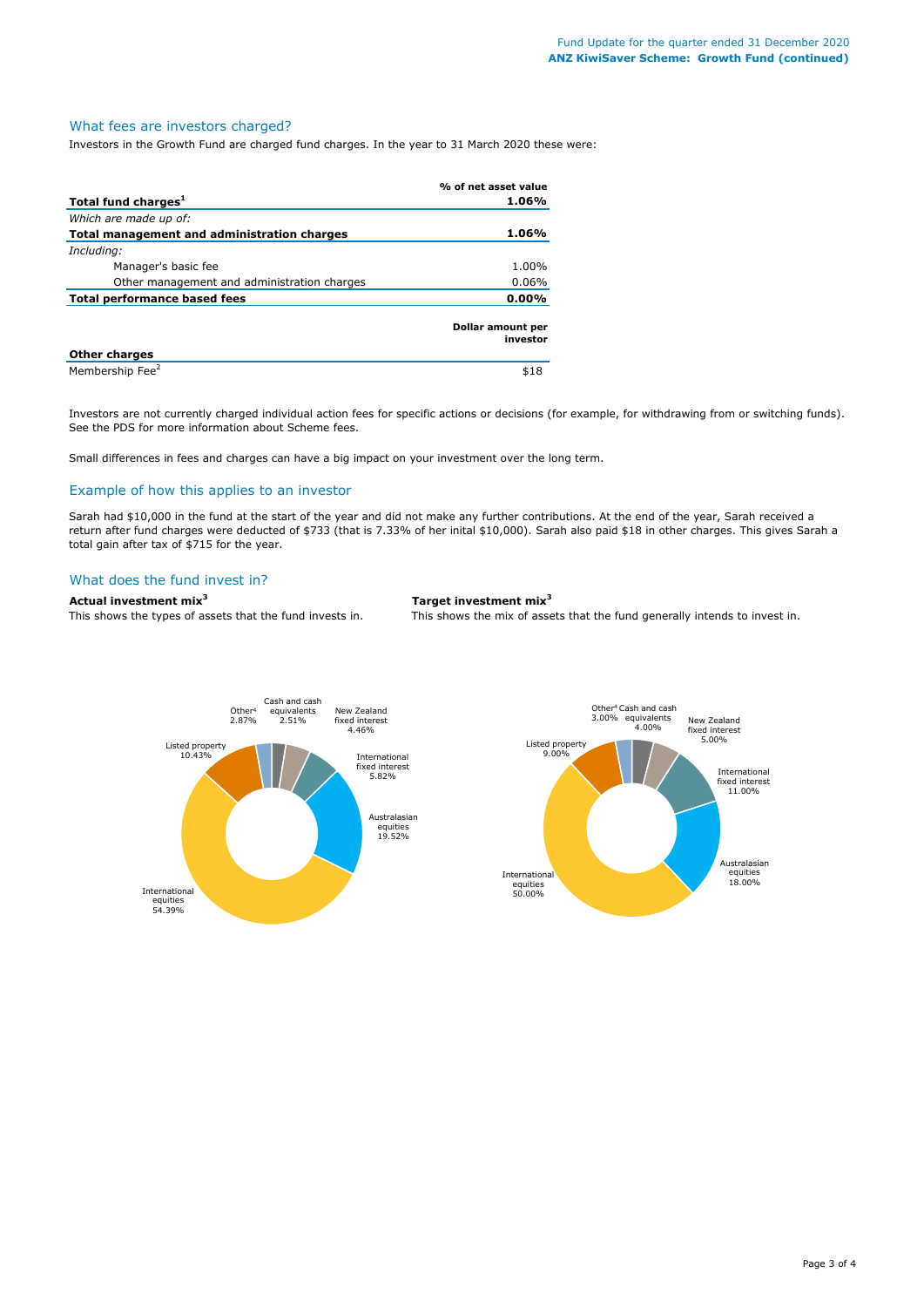#### What fees are investors charged?

Investors in the Growth Fund are charged fund charges. In the year to 31 March 2020 these were:

|                                             | % of net asset value          |
|---------------------------------------------|-------------------------------|
| Total fund charges <sup>1</sup>             | 1.06%                         |
| Which are made up of:                       |                               |
| Total management and administration charges | 1.06%                         |
| Including:                                  |                               |
| Manager's basic fee                         | 1.00%                         |
| Other management and administration charges | $0.06\%$                      |
| Total performance based fees                | $0.00\%$                      |
|                                             | Dollar amount per<br>investor |
| <b>Other charges</b>                        |                               |
| Membership Fee <sup>2</sup>                 | \$18                          |

Investors are not currently charged individual action fees for specific actions or decisions (for example, for withdrawing from or switching funds). See the PDS for more information about Scheme fees.

Small differences in fees and charges can have a big impact on your investment over the long term.

#### Example of how this applies to an investor

Sarah had \$10,000 in the fund at the start of the year and did not make any further contributions. At the end of the year, Sarah received a return after fund charges were deducted of \$733 (that is 7.33% of her inital \$10,000). Sarah also paid \$18 in other charges. This gives Sarah a total gain after tax of \$715 for the year.

# What does the fund invest in?

# **Actual investment mix<sup>3</sup> Target investment mix<sup>3</sup>**

This shows the types of assets that the fund invests in. This shows the mix of assets that the fund generally intends to invest in.